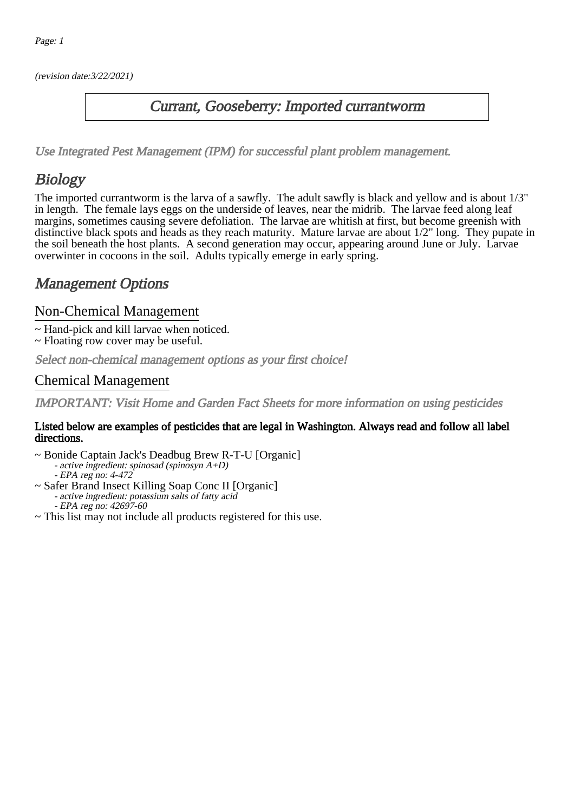(revision date:3/22/2021)

## Currant, Gooseberry: Imported currantworm

[Use Integrated Pest Management \(IPM\) for successful plant problem management.](http://pep.wsu.edu/Home_Garden/H_G_Pesticide_info/urban_Integrated_Pest_Managmen/)

## **Biology**

The imported currantworm is the larva of a sawfly. The adult sawfly is black and yellow and is about 1/3" in length. The female lays eggs on the underside of leaves, near the midrib. The larvae feed along leaf margins, sometimes causing severe defoliation. The larvae are whitish at first, but become greenish with distinctive black spots and heads as they reach maturity. Mature larvae are about 1/2" long. They pupate in the soil beneath the host plants. A second generation may occur, appearing around June or July. Larvae overwinter in cocoons in the soil. Adults typically emerge in early spring.

## Management Options

#### Non-Chemical Management

- ~ Hand-pick and kill larvae when noticed.
- ~ Floating row cover may be useful.

Select non-chemical management options as your first choice!

### Chemical Management

IMPORTANT: [Visit Home and Garden Fact Sheets for more information on using pesticides](http://pep.wsu.edu/Home_Garden/H_G_Pesticide_info/)

#### Listed below are examples of pesticides that are legal in Washington. Always read and follow all label directions.

- ~ Bonide Captain Jack's Deadbug Brew R-T-U [Organic] - active ingredient: spinosad (spinosyn A+D) - EPA reg no: 4-472
- ~ Safer Brand Insect Killing Soap Conc II [Organic] - active ingredient: potassium salts of fatty acid EPA reg no: 42697-60
- ~ This list may not include all products registered for this use.